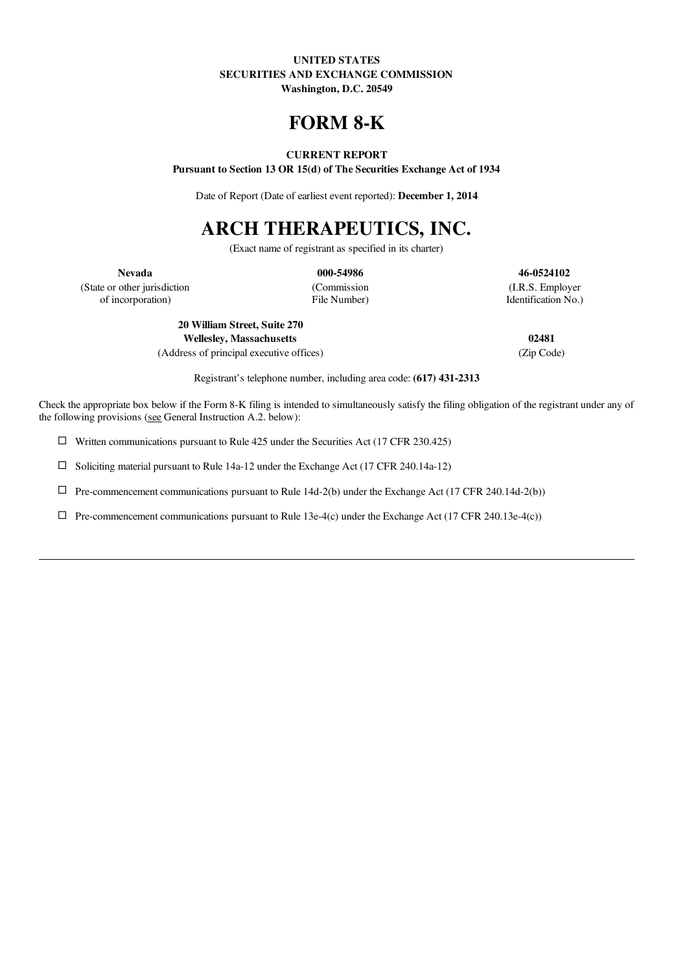## UNITED STATES SECURITIES AND EXCHANGE COMMISSION Washington, D.C. 20549

# FORM 8-K

# CURRENT REPORT

Pursuant to Section 13 OR 15(d) of The Securities Exchange Act of 1934

Date of Report (Date of earliest event reported): December 1, 2014

# ARCH THERAPEUTICS, INC.

(Exact name of registrant as specified in its charter)

Nevada 000-54986 46-0524102

(State or other jurisdiction (Commission (I.R.S. Employer of incorporation) (I.R.S. Employer of incorporation) of incorporation) File Number) Identification No.)

20 William Street, Suite 270 Wellesley, Massachusetts 02481

(Address of principal executive offices) (Zip Code)

Registrant's telephone number, including area code: (617) 431-2313

Check the appropriate box below if the Form 8-K filing is intended to simultaneously satisfy the filing obligation of the registrant under any of the following provisions (see General Instruction A.2. below):

 $\Box$  Written communications pursuant to Rule 425 under the Securities Act (17 CFR 230.425)

 $\square$  Soliciting material pursuant to Rule 14a-12 under the Exchange Act (17 CFR 240.14a-12)

 $\Box$  Pre-commencement communications pursuant to Rule 14d-2(b) under the Exchange Act (17 CFR 240.14d-2(b))

 $\Box$  Pre-commencement communications pursuant to Rule 13e-4(c) under the Exchange Act (17 CFR 240.13e-4(c))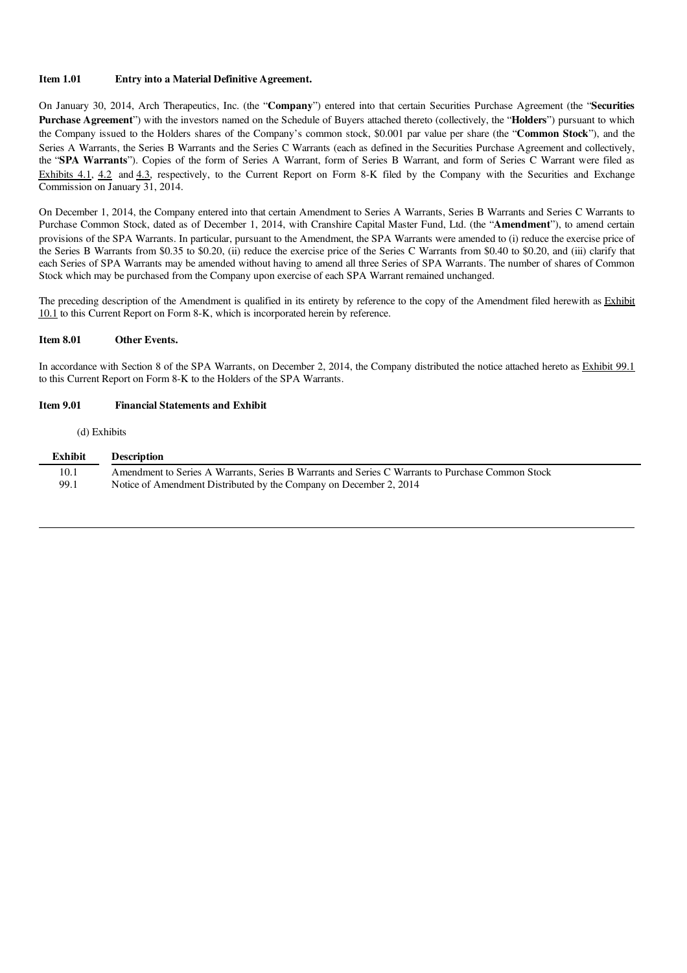#### Item 1.01 Entry into a Material Definitive Agreement.

On January 30, 2014, Arch Therapeutics, Inc. (the "Company") entered into that certain Securities Purchase Agreement (the "Securities Purchase Agreement") with the investors named on the Schedule of Buyers attached thereto (collectively, the "Holders") pursuant to which the Company issued to the Holders shares of the Company's common stock, \$0.001 par value per share (the "Common Stock"), and the Series A Warrants, the Series B Warrants and the Series C Warrants (each as defined in the Securities Purchase Agreement and collectively, the "SPA Warrants"). Copies of the form of Series A Warrant, form of Series B Warrant, and form of Series C Warrant were filed as Exhibits 4.1, 4.2 and 4.3, respectively, to the Current Report on Form 8-K filed by the Company with the Securities and Exchange Commission on January 31, 2014.

On December 1, 2014, the Company entered into that certain Amendment to Series A Warrants, Series B Warrants and Series C Warrants to Purchase Common Stock, dated as of December 1, 2014, with Cranshire Capital Master Fund, Ltd. (the "Amendment"), to amend certain provisions of the SPA Warrants. In particular, pursuant to the Amendment, the SPA Warrants were amended to (i) reduce the exercise price of the Series B Warrants from \$0.35 to \$0.20, (ii) reduce the exercise price of the Series C Warrants from \$0.40 to \$0.20, and (iii) clarify that each Series of SPA Warrants may be amended without having to amend all three Series of SPA Warrants. The number of shares of Common Stock which may be purchased from the Company upon exercise of each SPA Warrant remained unchanged.

The preceding description of the Amendment is qualified in its entirety by reference to the copy of the Amendment filed herewith as Exhibit 10.1 to this Current Report on Form 8-K, which is incorporated herein by reference.

#### Item 8.01 Other Events.

In accordance with Section 8 of the SPA Warrants, on December 2, 2014, the Company distributed the notice attached hereto as Exhibit 99.1 to this Current Report on Form 8-K to the Holders of the SPA Warrants.

#### Item 9.01 Financial Statements and Exhibit

#### (d) Exhibits

| <b>Exhibit</b> | <b>Description</b>                                                                               |
|----------------|--------------------------------------------------------------------------------------------------|
| 10.1           | Amendment to Series A Warrants, Series B Warrants and Series C Warrants to Purchase Common Stock |
| 99.1           | Notice of Amendment Distributed by the Company on December 2, 2014                               |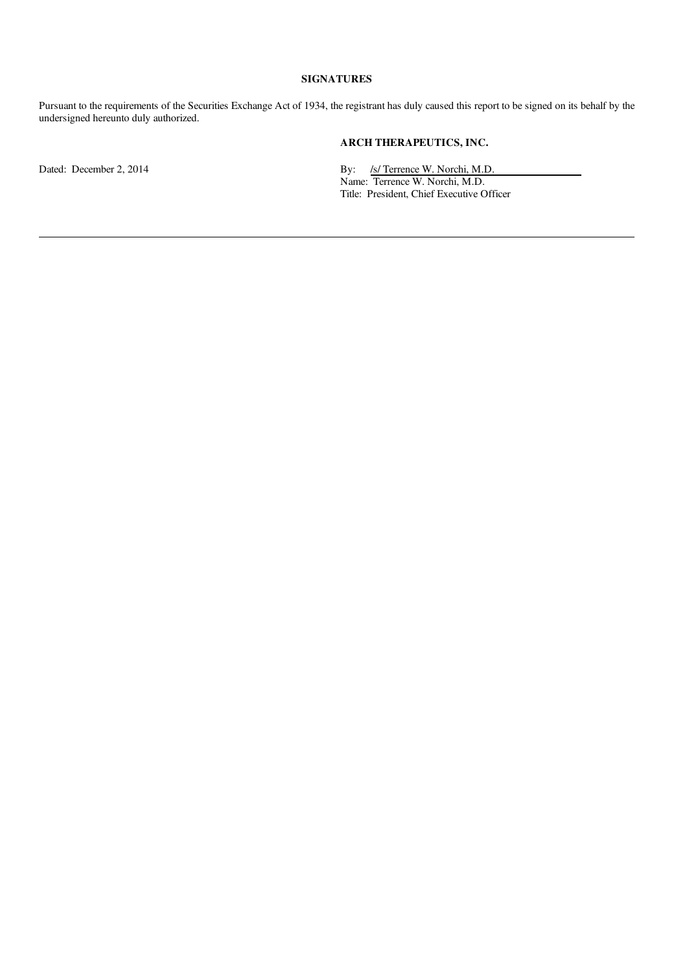## SIGNATURES

Pursuant to the requirements of the Securities Exchange Act of 1934, the registrant has duly caused this report to be signed on its behalf by the undersigned hereunto duly authorized.

# ARCH THERAPEUTICS, INC.

Dated: December 2, 2014 **By:** /s/ Terrence W. Norchi, M.D.

Name: Terrence W. Norchi, M.D. Title: President, Chief Executive Officer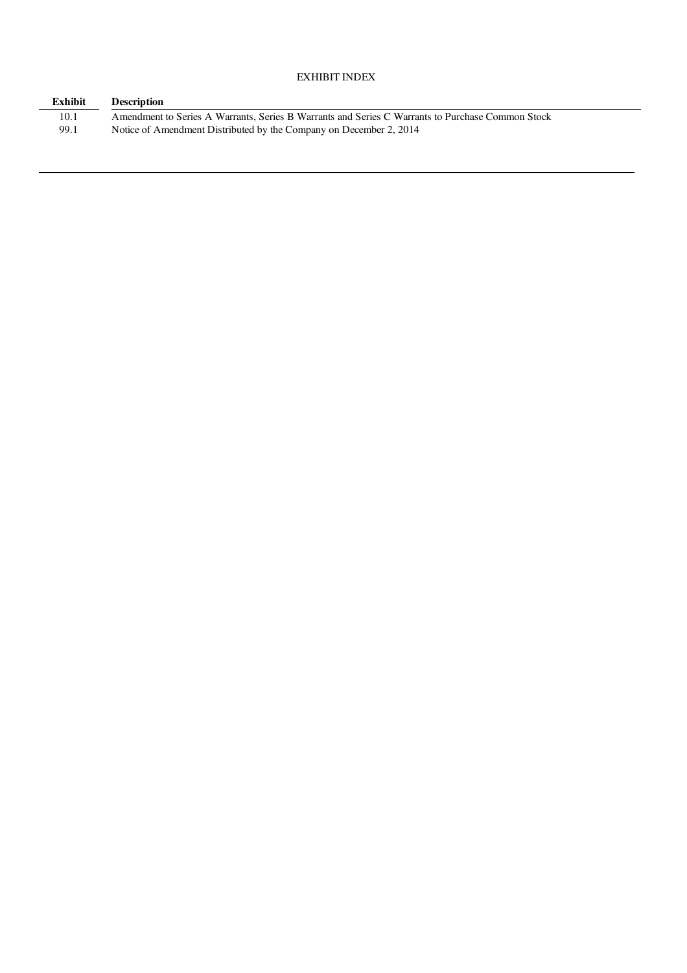# EXHIBIT INDEX

| <b>Exhibit</b> | <b>Description</b>                                                                               |
|----------------|--------------------------------------------------------------------------------------------------|
| 10.1           | Amendment to Series A Warrants, Series B Warrants and Series C Warrants to Purchase Common Stock |
| 99.1           | Notice of Amendment Distributed by the Company on December 2, 2014                               |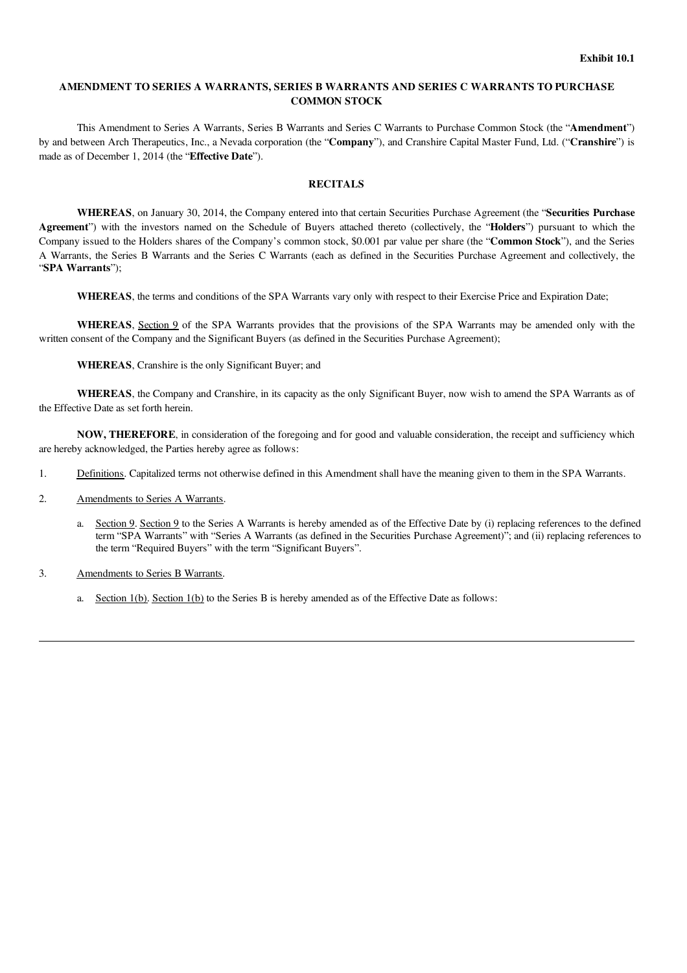# AMENDMENT TO SERIES A WARRANTS, SERIES B WARRANTS AND SERIES C WARRANTS TO PURCHASE COMMON STOCK

This Amendment to Series A Warrants, Series B Warrants and Series C Warrants to Purchase Common Stock (the "Amendment") by and between Arch Therapeutics, Inc., a Nevada corporation (the "Company"), and Cranshire Capital Master Fund, Ltd. ("Cranshire") is made as of December 1, 2014 (the "Effective Date").

# **RECITALS**

WHEREAS, on January 30, 2014, the Company entered into that certain Securities Purchase Agreement (the "Securities Purchase Agreement") with the investors named on the Schedule of Buyers attached thereto (collectively, the "Holders") pursuant to which the Company issued to the Holders shares of the Company's common stock, \$0.001 par value per share (the "Common Stock"), and the Series A Warrants, the Series B Warrants and the Series C Warrants (each as defined in the Securities Purchase Agreement and collectively, the "SPA Warrants");

WHEREAS, the terms and conditions of the SPA Warrants vary only with respect to their Exercise Price and Expiration Date;

WHEREAS, Section 9 of the SPA Warrants provides that the provisions of the SPA Warrants may be amended only with the written consent of the Company and the Significant Buyers (as defined in the Securities Purchase Agreement);

WHEREAS, Cranshire is the only Significant Buyer; and

WHEREAS, the Company and Cranshire, in its capacity as the only Significant Buyer, now wish to amend the SPA Warrants as of the Effective Date as set forth herein.

NOW, THEREFORE, in consideration of the foregoing and for good and valuable consideration, the receipt and sufficiency which are hereby acknowledged, the Parties hereby agree as follows:

- 1. Definitions. Capitalized terms not otherwise defined in this Amendment shall have the meaning given to them in the SPA Warrants.
- 2. Amendments to Series A Warrants.
	- a. Section 9. Section 9 to the Series A Warrants is hereby amended as of the Effective Date by (i) replacing references to the defined term "SPA Warrants" with "Series A Warrants (as defined in the Securities Purchase Agreement)"; and (ii) replacing references to the term "Required Buyers" with the term "Significant Buyers".
- 3. Amendments to Series B Warrants.
	- a. Section  $1(b)$ . Section  $1(b)$  to the Series B is hereby amended as of the Effective Date as follows: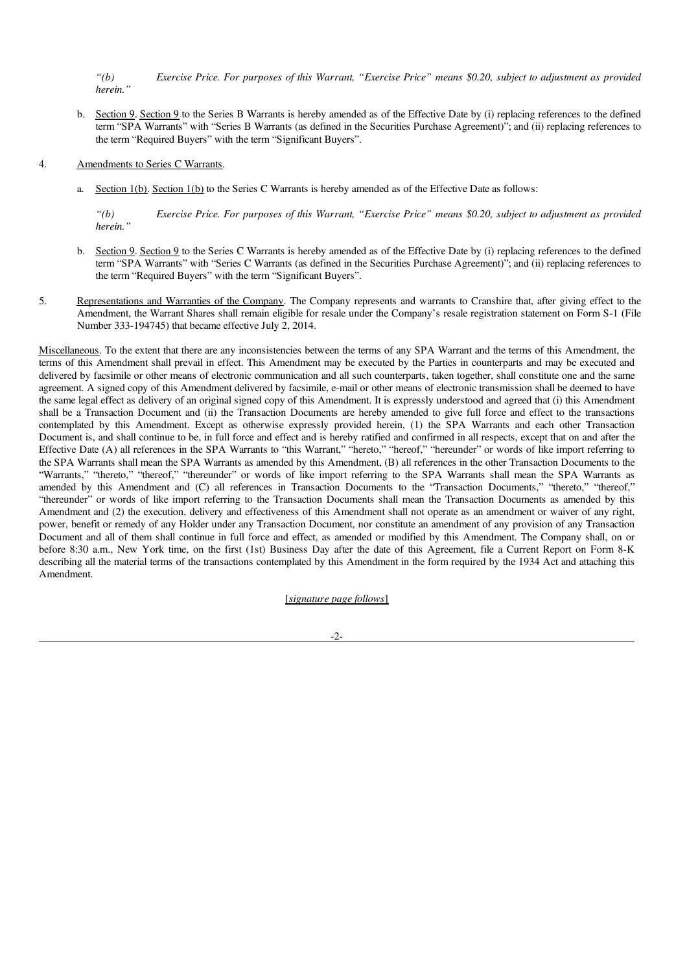"(b) Exercise Price. For purposes of this Warrant, "Exercise Price" means \$0.20, subject to adjustment as provided *herein."*

- b. Section 9. Section 9 to the Series B Warrants is hereby amended as of the Effective Date by (i) replacing references to the defined term "SPA Warrants" with "Series B Warrants (as defined in the Securities Purchase Agreement)"; and (ii) replacing references to the term "Required Buyers" with the term "Significant Buyers".
- 4. Amendments to Series C Warrants.
	- a. Section 1(b). Section 1(b) to the Series C Warrants is hereby amended as of the Effective Date as follows:

"(b) Exercise Price. For purposes of this Warrant, "Exercise Price" means \$0.20, subject to adjustment as provided *herein."*

- b. Section 9. Section 9 to the Series C Warrants is hereby amended as of the Effective Date by (i) replacing references to the defined term "SPA Warrants" with "Series C Warrants (as defined in the Securities Purchase Agreement)"; and (ii) replacing references to the term "Required Buyers" with the term "Significant Buyers".
- 5. Representations and Warranties of the Company. The Company represents and warrants to Cranshire that, after giving effect to the Amendment, the Warrant Shares shall remain eligible for resale under the Company's resale registration statement on Form S-1 (File Number 333-194745) that became effective July 2, 2014.

Miscellaneous. To the extent that there are any inconsistencies between the terms of any SPA Warrant and the terms of this Amendment, the terms of this Amendment shall prevail in effect. This Amendment may be executed by the Parties in counterparts and may be executed and delivered by facsimile or other means of electronic communication and all such counterparts, taken together, shall constitute one and the same agreement. A signed copy of this Amendment delivered by facsimile, e-mail or other means of electronic transmission shall be deemed to have the same legal effect as delivery of an original signed copy of this Amendment. It is expressly understood and agreed that (i) this Amendment shall be a Transaction Document and (ii) the Transaction Documents are hereby amended to give full force and effect to the transactions contemplated by this Amendment. Except as otherwise expressly provided herein, (1) the SPA Warrants and each other Transaction Document is, and shall continue to be, in full force and effect and is hereby ratified and confirmed in all respects, except that on and after the Effective Date (A) all references in the SPA Warrants to "this Warrant," "hereto," "hereof," "hereunder" or words of like import referring to the SPA Warrants shall mean the SPA Warrants as amended by this Amendment, (B) all references in the other Transaction Documents to the "Warrants," "thereto," "thereof," "thereunder" or words of like import referring to the SPA Warrants shall mean the SPA Warrants as amended by this Amendment and (C) all references in Transaction Documents to the "Transaction Documents," "thereto," "thereof," "thereunder" or words of like import referring to the Transaction Documents shall mean the Transaction Documents as amended by this Amendment and (2) the execution, delivery and effectiveness of this Amendment shall not operate as an amendment or waiver of any right, power, benefit or remedy of any Holder under any Transaction Document, nor constitute an amendment of any provision of any Transaction Document and all of them shall continue in full force and effect, as amended or modified by this Amendment. The Company shall, on or before 8:30 a.m., New York time, on the first (1st) Business Day after the date of this Agreement, file a Current Report on Form 8-K describing all the material terms of the transactions contemplated by this Amendment in the form required by the 1934 Act and attaching this Amendment.

[*signature page follows*]

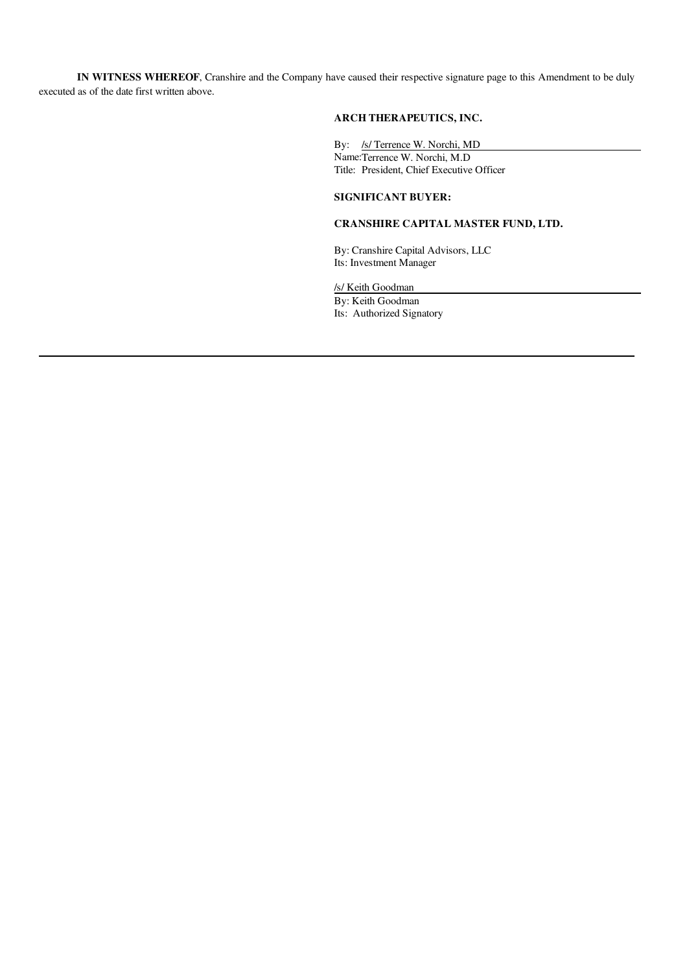IN WITNESS WHEREOF, Cranshire and the Company have caused their respective signature page to this Amendment to be duly executed as of the date first written above.

# ARCH THERAPEUTICS, INC.

By: /s/ Terrence W. Norchi, MD Name:Terrence W. Norchi, M.D Title: President, Chief Executive Officer

# SIGNIFICANT BUYER:

# CRANSHIRE CAPITAL MASTER FUND, LTD.

By: Cranshire Capital Advisors, LLC Its: Investment Manager

/s/ Keith Goodman

By: Keith Goodman Its: Authorized Signatory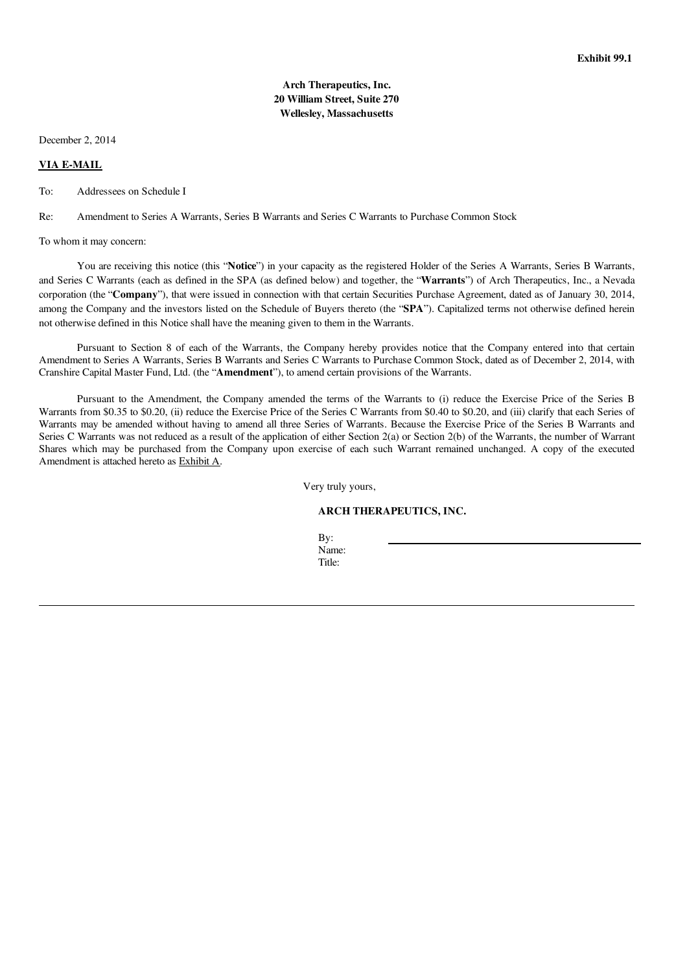# Arch Therapeutics, Inc. 20 William Street, Suite 270 Wellesley, Massachusetts

December 2, 2014

#### VIA E-MAIL

To: Addressees on Schedule I

Re: Amendment to Series A Warrants, Series B Warrants and Series C Warrants to Purchase Common Stock

To whom it may concern:

You are receiving this notice (this "Notice") in your capacity as the registered Holder of the Series A Warrants, Series B Warrants, and Series C Warrants (each as defined in the SPA (as defined below) and together, the "Warrants") of Arch Therapeutics, Inc., a Nevada corporation (the "Company"), that were issued in connection with that certain Securities Purchase Agreement, dated as of January 30, 2014, among the Company and the investors listed on the Schedule of Buyers thereto (the "SPA"). Capitalized terms not otherwise defined herein not otherwise defined in this Notice shall have the meaning given to them in the Warrants.

Pursuant to Section 8 of each of the Warrants, the Company hereby provides notice that the Company entered into that certain Amendment to Series A Warrants, Series B Warrants and Series C Warrants to Purchase Common Stock, dated as of December 2, 2014, with Cranshire Capital Master Fund, Ltd. (the "Amendment"), to amend certain provisions of the Warrants.

Pursuant to the Amendment, the Company amended the terms of the Warrants to (i) reduce the Exercise Price of the Series B Warrants from \$0.35 to \$0.20, (ii) reduce the Exercise Price of the Series C Warrants from \$0.40 to \$0.20, and (iii) clarify that each Series of Warrants may be amended without having to amend all three Series of Warrants. Because the Exercise Price of the Series B Warrants and Series C Warrants was not reduced as a result of the application of either Section 2(a) or Section 2(b) of the Warrants, the number of Warrant Shares which may be purchased from the Company upon exercise of each such Warrant remained unchanged. A copy of the executed Amendment is attached hereto as Exhibit A.

Very truly yours,

ARCH THERAPEUTICS, INC.

By: Name: Title: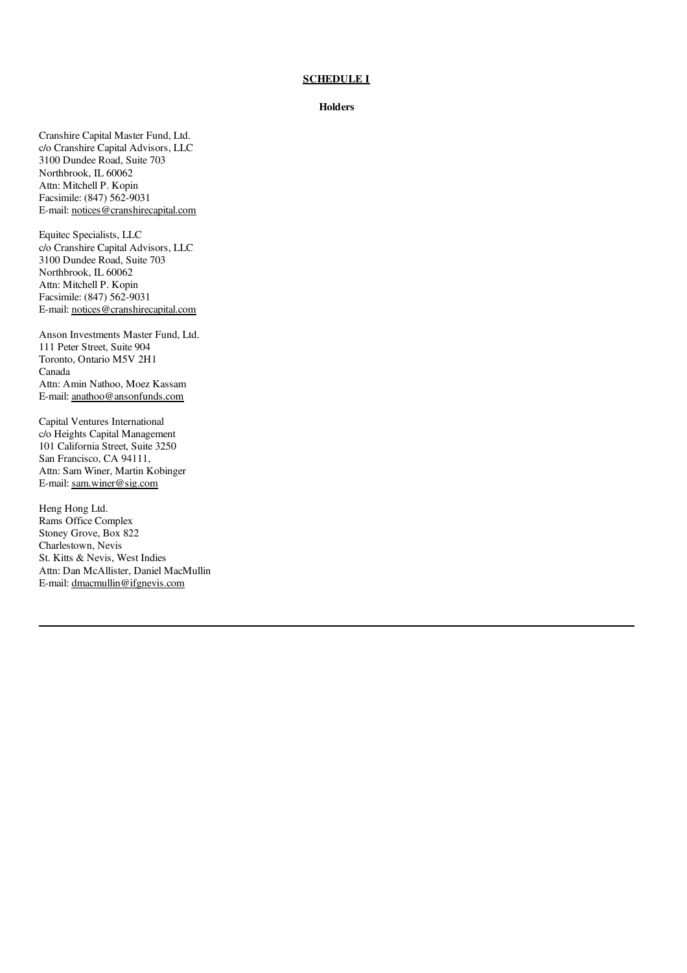## **SCHEDULE I**

#### **Holders**

Cranshire Capital Master Fund, Ltd. c/o Cranshire Capital Advisors, LLC 3100 Dundee Road, Suite 703 Northbrook, IL 60062 Attn: Mitchell P. Kopin Facsimile: (847) 562-9031 E-mail: notices@cranshirecapital.com

Equitec Specialists, LLC c/o Cranshire Capital Advisors, LLC 3100 Dundee Road, Suite 703 Northbrook, IL 60062 Attn: Mitchell P. Kopin Facsimile: (847) 562-9031 E-mail: notices@cranshirecapital.com

Anson Investments Master Fund, Ltd. 111 Peter Street, Suite 904 Toronto, Ontario M5V 2H1 Canada Attn: Amin Nathoo, Moez Kassam E-mail: anathoo@ansonfunds.com

Capital Ventures International c/o Heights Capital Management 101 California Street, Suite 3250 San Francisco, CA 94111, Attn: Sam Winer, Martin Kobinger E-mail: sam.winer@sig.com

Heng Hong Ltd. Rams Office Complex Stoney Grove, Box 822 Charlestown, Nevis St. Kitts & Nevis, West Indies Attn: Dan McAllister, Daniel MacMullin E-mail: dmacmullin@ifgnevis.com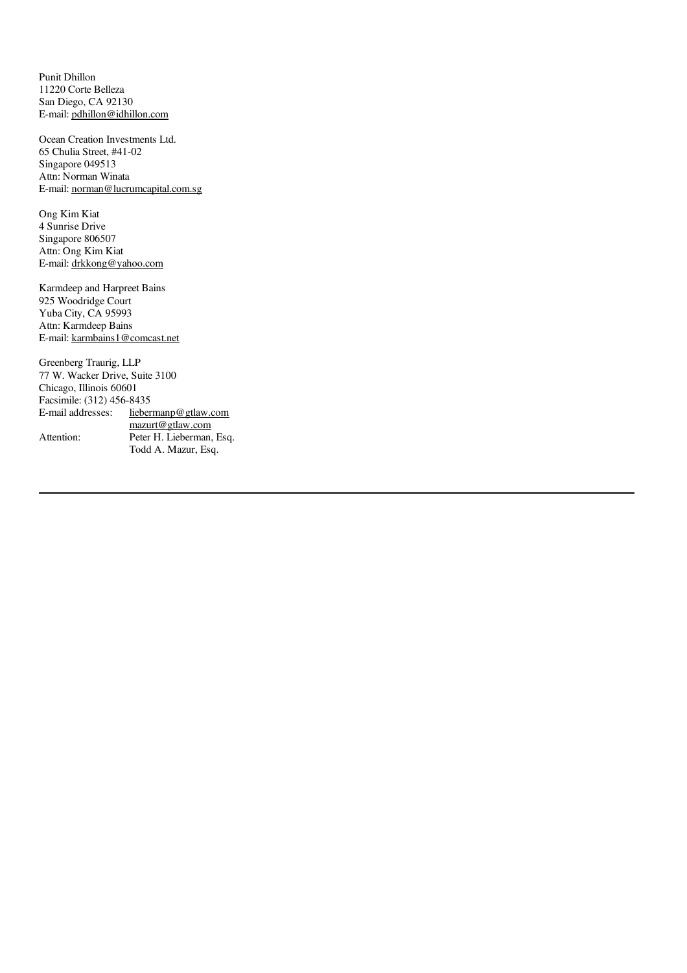Punit Dhillon 11220 Corte Belleza San Diego, CA 92130 E-mail: pdhillon@idhillon.com

Ocean Creation Investments Ltd. 65 Chulia Street, #41-02 Singapore 049513 Attn: Norman Winata E-mail: norman@lucrumcapital.com.sg

Ong Kim Kiat 4 Sunrise Drive Singapore 806507 Attn: Ong Kim Kiat E-mail: drkkong@yahoo.com

Karmdeep and Harpreet Bains 925 Woodridge Court Yuba City, CA 95993 Attn: Karmdeep Bains E-mail: karmbains1@comcast.net

Greenberg Traurig, LLP 77 W. Wacker Drive, Suite 3100 Chicago, Illinois 60601 Facsimile: (312) 456-8435<br>E-mail addresses: lieber liebermanp@gtlaw.com mazurt@gtlaw.com Attention: Peter H. Lieberman, Esq. Todd A. Mazur, Esq.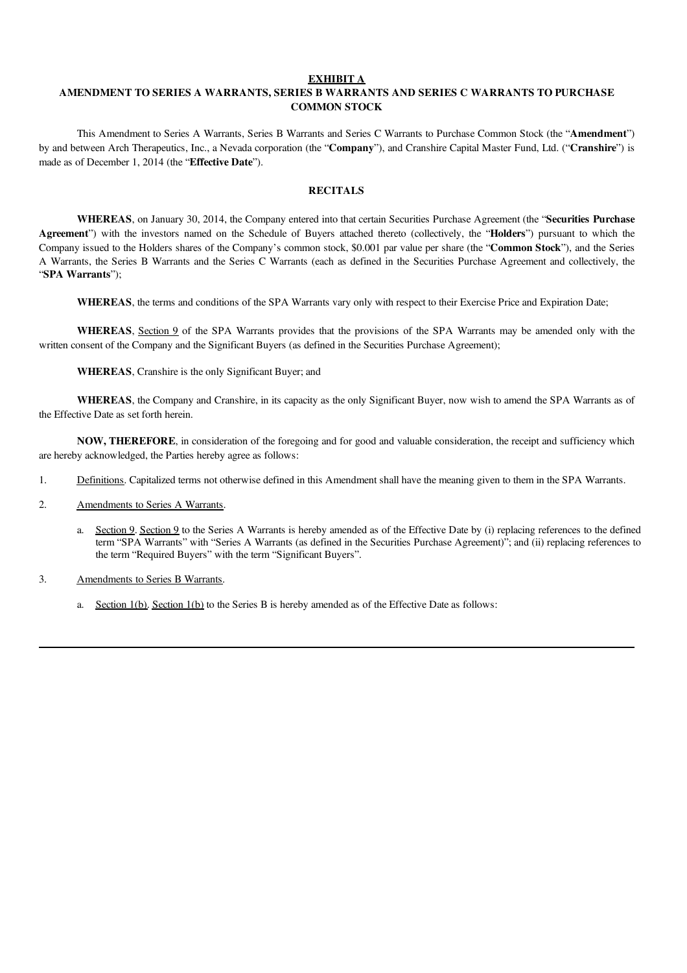#### EXHIBIT A

# AMENDMENT TO SERIES A WARRANTS, SERIES B WARRANTS AND SERIES C WARRANTS TO PURCHASE COMMON STOCK

This Amendment to Series A Warrants, Series B Warrants and Series C Warrants to Purchase Common Stock (the "Amendment") by and between Arch Therapeutics, Inc., a Nevada corporation (the "Company"), and Cranshire Capital Master Fund, Ltd. ("Cranshire") is made as of December 1, 2014 (the "Effective Date").

## **RECITALS**

WHEREAS, on January 30, 2014, the Company entered into that certain Securities Purchase Agreement (the "Securities Purchase Agreement") with the investors named on the Schedule of Buyers attached thereto (collectively, the "Holders") pursuant to which the Company issued to the Holders shares of the Company's common stock, \$0.001 par value per share (the "Common Stock"), and the Series A Warrants, the Series B Warrants and the Series C Warrants (each as defined in the Securities Purchase Agreement and collectively, the "SPA Warrants");

WHEREAS, the terms and conditions of the SPA Warrants vary only with respect to their Exercise Price and Expiration Date;

WHEREAS, Section 9 of the SPA Warrants provides that the provisions of the SPA Warrants may be amended only with the written consent of the Company and the Significant Buyers (as defined in the Securities Purchase Agreement);

WHEREAS, Cranshire is the only Significant Buyer; and

WHEREAS, the Company and Cranshire, in its capacity as the only Significant Buyer, now wish to amend the SPA Warrants as of the Effective Date as set forth herein.

NOW, THEREFORE, in consideration of the foregoing and for good and valuable consideration, the receipt and sufficiency which are hereby acknowledged, the Parties hereby agree as follows:

- 1. Definitions. Capitalized terms not otherwise defined in this Amendment shall have the meaning given to them in the SPA Warrants.
- 2. Amendments to Series A Warrants.
	- a. Section 9. Section 9 to the Series A Warrants is hereby amended as of the Effective Date by (i) replacing references to the defined term "SPA Warrants" with "Series A Warrants (as defined in the Securities Purchase Agreement)"; and (ii) replacing references to the term "Required Buyers" with the term "Significant Buyers".
- 3. Amendments to Series B Warrants.
	- a. Section  $1(b)$ . Section  $1(b)$  to the Series B is hereby amended as of the Effective Date as follows: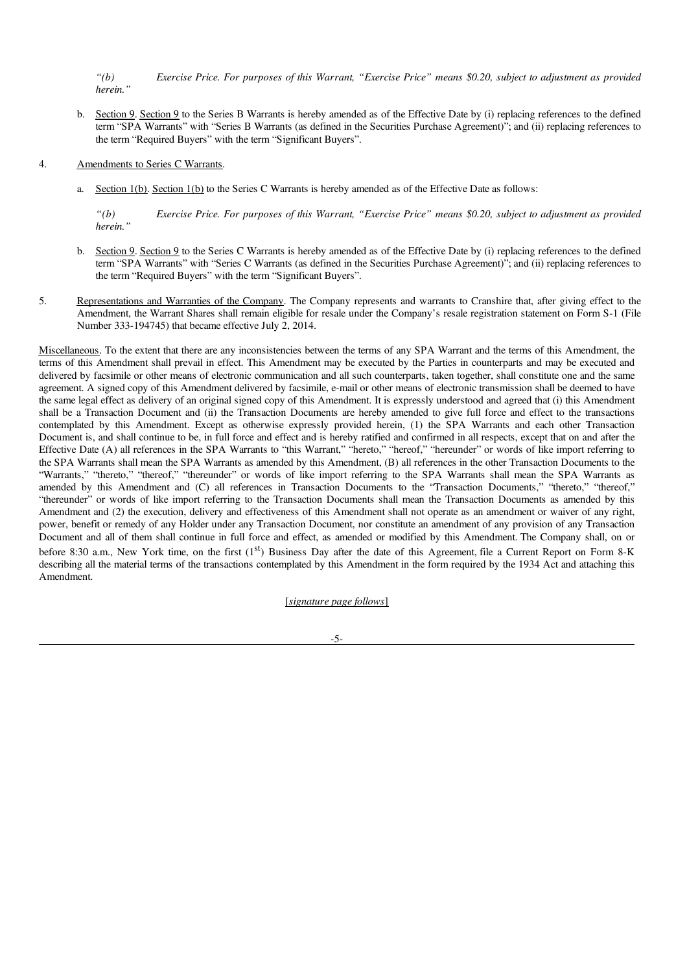"(b) Exercise Price. For purposes of this Warrant, "Exercise Price" means \$0.20, subject to adjustment as provided *herein."*

- b. Section 9. Section 9 to the Series B Warrants is hereby amended as of the Effective Date by (i) replacing references to the defined term "SPA Warrants" with "Series B Warrants (as defined in the Securities Purchase Agreement)"; and (ii) replacing references to the term "Required Buyers" with the term "Significant Buyers".
- 4. Amendments to Series C Warrants.
	- a. Section 1(b). Section 1(b) to the Series C Warrants is hereby amended as of the Effective Date as follows:

"(b) Exercise Price. For purposes of this Warrant, "Exercise Price" means \$0.20, subject to adjustment as provided *herein."*

- b. Section 9. Section 9 to the Series C Warrants is hereby amended as of the Effective Date by (i) replacing references to the defined term "SPA Warrants" with "Series C Warrants (as defined in the Securities Purchase Agreement)"; and (ii) replacing references to the term "Required Buyers" with the term "Significant Buyers".
- 5. Representations and Warranties of the Company. The Company represents and warrants to Cranshire that, after giving effect to the Amendment, the Warrant Shares shall remain eligible for resale under the Company's resale registration statement on Form S-1 (File Number 333-194745) that became effective July 2, 2014.

Miscellaneous. To the extent that there are any inconsistencies between the terms of any SPA Warrant and the terms of this Amendment, the terms of this Amendment shall prevail in effect. This Amendment may be executed by the Parties in counterparts and may be executed and delivered by facsimile or other means of electronic communication and all such counterparts, taken together, shall constitute one and the same agreement. A signed copy of this Amendment delivered by facsimile, e-mail or other means of electronic transmission shall be deemed to have the same legal effect as delivery of an original signed copy of this Amendment. It is expressly understood and agreed that (i) this Amendment shall be a Transaction Document and (ii) the Transaction Documents are hereby amended to give full force and effect to the transactions contemplated by this Amendment. Except as otherwise expressly provided herein, (1) the SPA Warrants and each other Transaction Document is, and shall continue to be, in full force and effect and is hereby ratified and confirmed in all respects, except that on and after the Effective Date (A) all references in the SPA Warrants to "this Warrant," "hereto," "hereof," "hereunder" or words of like import referring to the SPA Warrants shall mean the SPA Warrants as amended by this Amendment, (B) all references in the other Transaction Documents to the "Warrants," "thereto," "thereof," "thereunder" or words of like import referring to the SPA Warrants shall mean the SPA Warrants as amended by this Amendment and (C) all references in Transaction Documents to the "Transaction Documents," "thereto," "thereof," "thereunder" or words of like import referring to the Transaction Documents shall mean the Transaction Documents as amended by this Amendment and (2) the execution, delivery and effectiveness of this Amendment shall not operate as an amendment or waiver of any right, power, benefit or remedy of any Holder under any Transaction Document, nor constitute an amendment of any provision of any Transaction Document and all of them shall continue in full force and effect, as amended or modified by this Amendment. The Company shall, on or before 8:30 a.m., New York time, on the first (1<sup>st</sup>) Business Day after the date of this Agreement, file a Current Report on Form 8-K describing all the material terms of the transactions contemplated by this Amendment in the form required by the 1934 Act and attaching this Amendment.

[*signature page follows*]

-5-